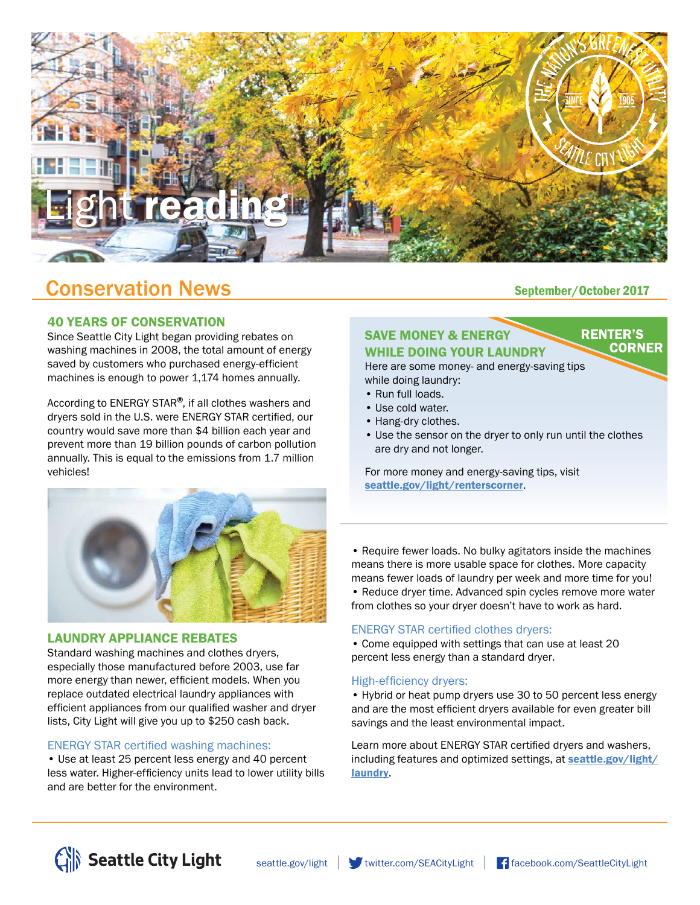

# Conservation News<br>
September/October 2017

### 40 YEARS OF CONSERVATION

Since Seattle City Light began providing rebates on washing machines in 2008, the total amount of energy saved by customers who purchased energy-efficient machines is enough to power 1,174 homes annually.

According to ENERGY STAR<sup>®</sup>, if all clothes washers and dryers sold in the U.S. were ENERGY STAR certified, our country would save more than \$4 billion each year and prevent more than 19 billion pounds of carbon pollution annually. This is equal to the emissions from 1.7 million vehicles!



#### LAUNDRY APPLIANCE REBATES

Standard washing machines and clothes dryers, especially those manufactured before 2003, use far more energy than newer, efficient models. When you replace outdated electrical laundry appliances with efficient appliances from our qualified washer and dryer lists, City Light will give you up to \$250 cash back.

### ENERGY STAR certified washing machines:

• Use at least 25 percent less energy and 40 percent less water. Higher-efficiency units lead to lower utility bills and are better for the environment.

**RENTER'S** 

**CORNER** 

# SAVE MONEY & ENERGY WHILE DOING YOUR LAUNDRY

Here are some money- and energy-saving tips while doing laundry:

- Run full loads.
- Use cold water.
- Hang-dry clothes.
- Use the sensor on the dryer to only run until the clothes are dry and not longer.

For more money and energy-saving tips, visit [seattle.gov/light/renterscorner](http://www.seattle.gov/light/renterscorner).

• Require fewer loads. No bulky agitators inside the machines means there is more usable space for clothes. More capacity means fewer loads of laundry per week and more time for you! • Reduce dryer time. Advanced spin cycles remove more water

from clothes so your dryer doesn't have to work as hard.

#### ENERGY STAR certified clothes dryers:

• Come equipped with settings that can use at least 20 percent less energy than a standard dryer.

#### High-efficiency dryers:

• Hybrid or heat pump dryers use 30 to 50 percent less energy and are the most efficient dryers available for even greater bill savings and the least environmental impact.

Learn more about ENERGY STAR certified dryers and washers, including features and optimized settings, at **[seattle.gov/light/](http://www.seattle.gov/light/laundry)** [laundry](http://www.seattle.gov/light/laundry).



[seattle.gov/light](http://www.seattle.gov/light) witter.com/SEACityLight [facebook.com/SeattleCityLight](http://www.facebook.com/SeattleCityLight)